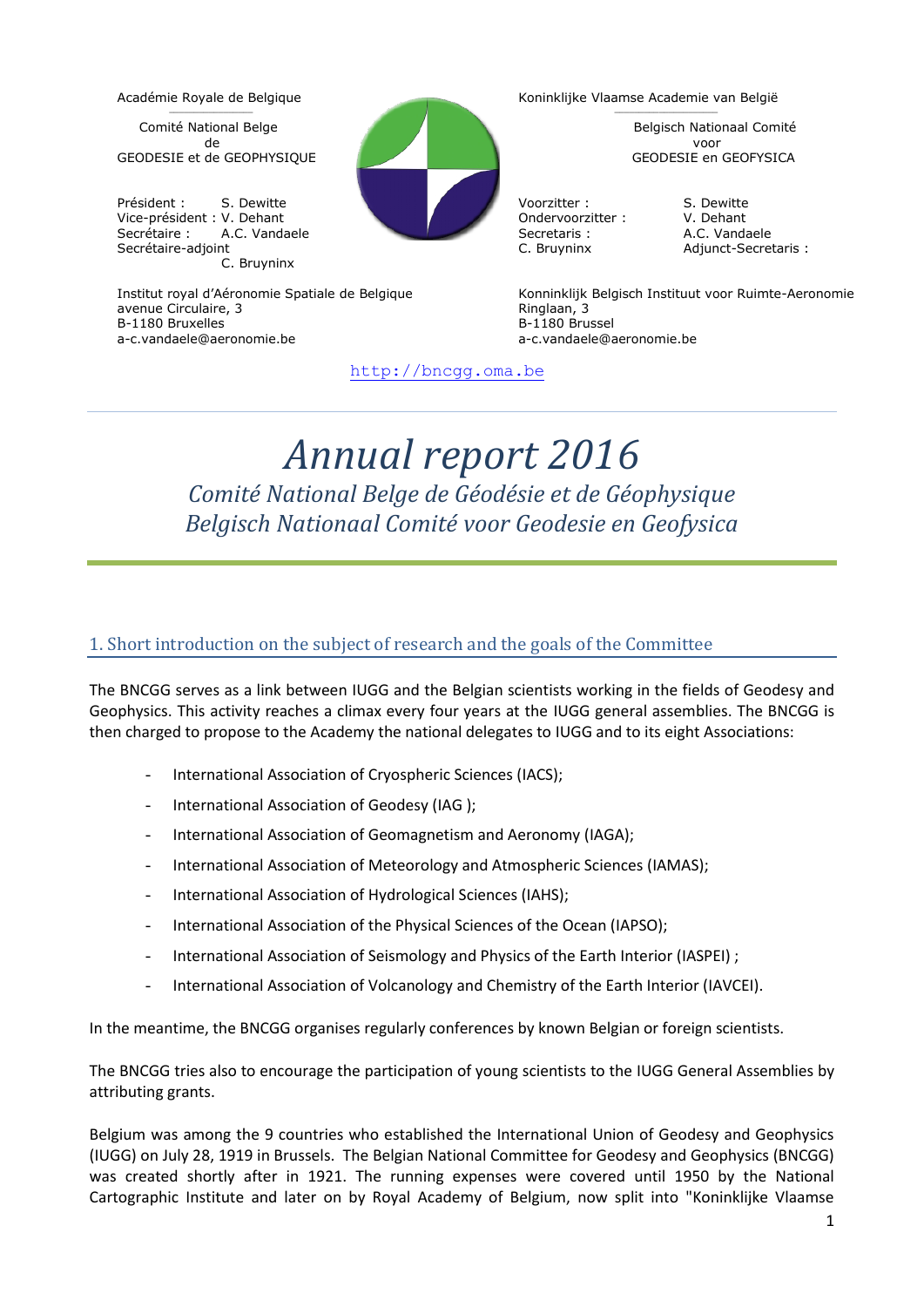# \_\_\_\_\_\_\_\_\_\_\_\_\_\_\_\_\_

Comité National Belge Belgisch Nationaal Comité de voor GEODESIE et de GEOPHYSIQUE GEODESIE en GEOFYSICA

Président : S. Dewitte **Carl Contract de La Contract de La Contract de La Contract de La Contract de La Contract de La Contract de La Contract de La Contract de La Contract de La Contract de La Contract de La Contract de L** Vice-président : V. Dehant Ondervoorzitter : V. Dehant Secrétaire : A.C. Vandaele Secretaris : A.C. Vandaele C. Bruyninx

avenue Circulaire, 3 and 3 Ringlaan, 3 and 3 Ringlaan, 3 and 3 Ringlaan, 3 and 3 Ringlaan, 3 and 3 Ringlaan, 3 and 3 Ringlaan, 3 and 3 Ringlaan, 3 and 3 Ringlaan, 3 and 3 Ringlaan, 3 and 3 Ringlaan, 3 and 3 Ringlaan, 3 and a-c.vandaele@aeronomie.be a-c.vandaele@aeronomie.be



Académie Royale de Belgique Koninklijke Vlaamse Academie van België \_\_\_\_\_\_\_\_\_\_\_\_\_\_\_\_\_\_\_\_\_

C. Bruyninx Adjunct-Secretaris :

Institut royal d'Aéronomie Spatiale de Belgique Konninklijk Belgisch Instituut voor Ruimte-Aeronomie  $B-1180$  Brussel

[http://bncgg.oma.be](http://bncgg.oma.be/)

# *Annual report 2016 Comité National Belge de Géodésie et de Géophysique Belgisch Nationaal Comité voor Geodesie en Geofysica*

# 1. Short introduction on the subject of research and the goals of the Committee

The BNCGG serves as a link between IUGG and the Belgian scientists working in the fields of Geodesy and Geophysics. This activity reaches a climax every four years at the IUGG general assemblies. The BNCGG is then charged to propose to the Academy the national delegates to IUGG and to its eight Associations:

- International Association of Cryospheric Sciences (IACS):
- International Association of Geodesy (IAG);
- International Association of Geomagnetism and Aeronomy (IAGA);
- International Association of Meteorology and Atmospheric Sciences (IAMAS);
- International Association of Hydrological Sciences (IAHS);
- International Association of the Physical Sciences of the Ocean (IAPSO);
- International Association of Seismology and Physics of the Earth Interior (IASPEI) ;
- International Association of Volcanology and Chemistry of the Earth Interior (IAVCEI).

In the meantime, the BNCGG organises regularly conferences by known Belgian or foreign scientists.

The BNCGG tries also to encourage the participation of young scientists to the IUGG General Assemblies by attributing grants.

Belgium was among the 9 countries who established the International Union of Geodesy and Geophysics (IUGG) on July 28, 1919 in Brussels. The Belgian National Committee for Geodesy and Geophysics (BNCGG) was created shortly after in 1921. The running expenses were covered until 1950 by the National Cartographic Institute and later on by Royal Academy of Belgium, now split into "Koninklijke Vlaamse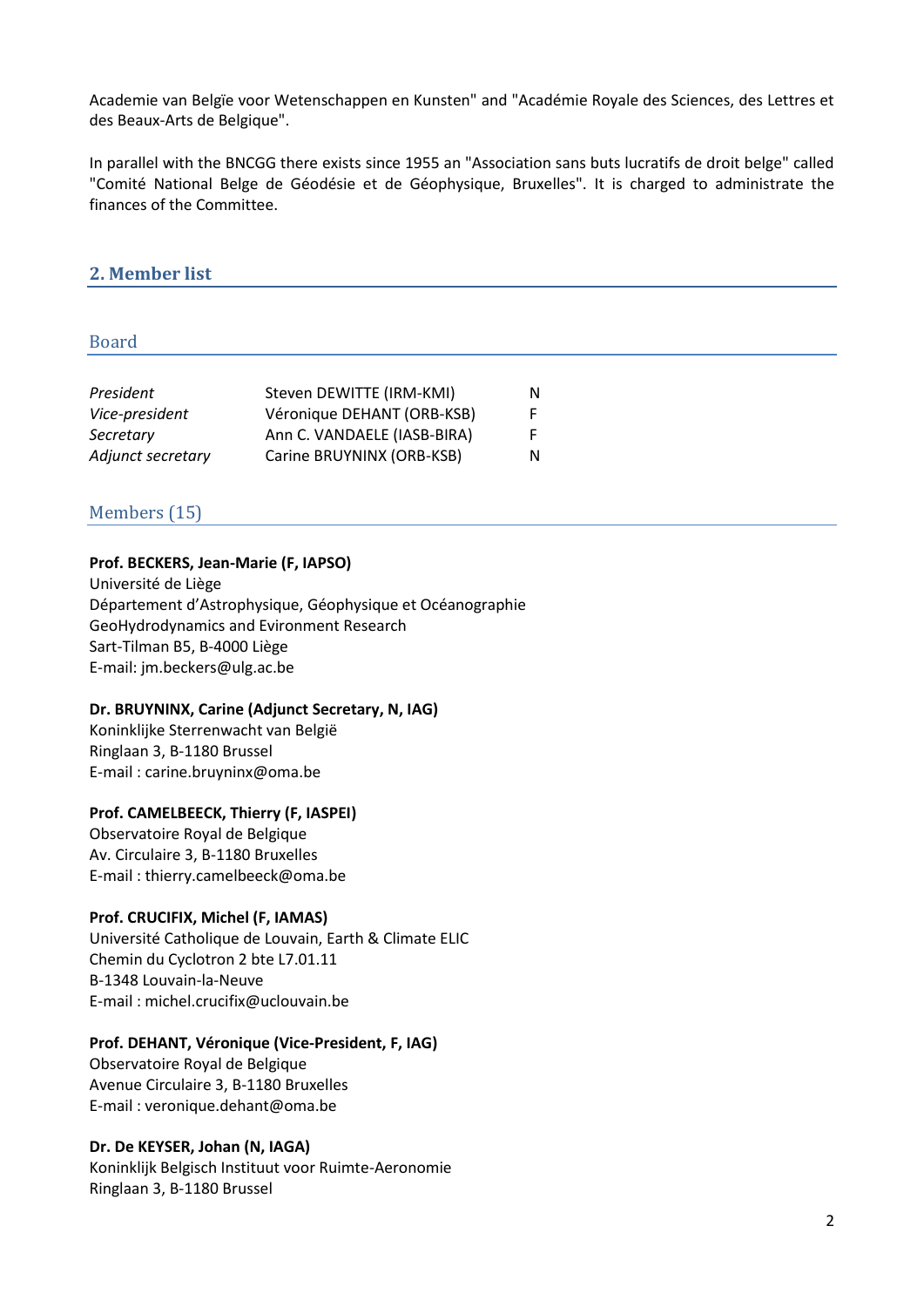Academie van Belgïe voor Wetenschappen en Kunsten" and "Académie Royale des Sciences, des Lettres et des Beaux-Arts de Belgique".

In parallel with the BNCGG there exists since 1955 an "Association sans buts lucratifs de droit belge" called "Comité National Belge de Géodésie et de Géophysique, Bruxelles". It is charged to administrate the finances of the Committee.

# **2. Member list**

#### Board

| President         | Steven DEWITTE (IRM-KMI)    | N. |
|-------------------|-----------------------------|----|
| Vice-president    | Véronique DEHANT (ORB-KSB)  | F. |
| Secretary         | Ann C. VANDAELE (IASB-BIRA) |    |
| Adjunct secretary | Carine BRUYNINX (ORB-KSB)   | N  |

# Members (15)

#### **Prof. BECKERS, Jean-Marie (F, IAPSO)**

Université de Liège Département d'Astrophysique, Géophysique et Océanographie GeoHydrodynamics and Evironment Research Sart-Tilman B5, B-4000 Liège E-mail: jm.beckers@ulg.ac.be

#### **Dr. BRUYNINX, Carine (Adjunct Secretary, N, IAG)**

Koninklijke Sterrenwacht van België Ringlaan 3, B-1180 Brussel E-mail : carine.bruyninx@oma.be

#### **Prof. CAMELBEECK, Thierry (F, IASPEI)**

Observatoire Royal de Belgique Av. Circulaire 3, B-1180 Bruxelles E-mail : thierry.camelbeeck@oma.be

#### **Prof. CRUCIFIX, Michel (F, IAMAS)**

Université Catholique de Louvain, Earth & Climate ELIC Chemin du Cyclotron 2 bte L7.01.11 B-1348 Louvain-la-Neuve E-mail : michel.crucifix@uclouvain.be

#### **Prof. DEHANT, Véronique (Vice-President, F, IAG)**

Observatoire Royal de Belgique Avenue Circulaire 3, B-1180 Bruxelles E-mail : veronique.dehant@oma.be

#### **Dr. De KEYSER, Johan (N, IAGA)**

Koninklijk Belgisch Instituut voor Ruimte-Aeronomie Ringlaan 3, B-1180 Brussel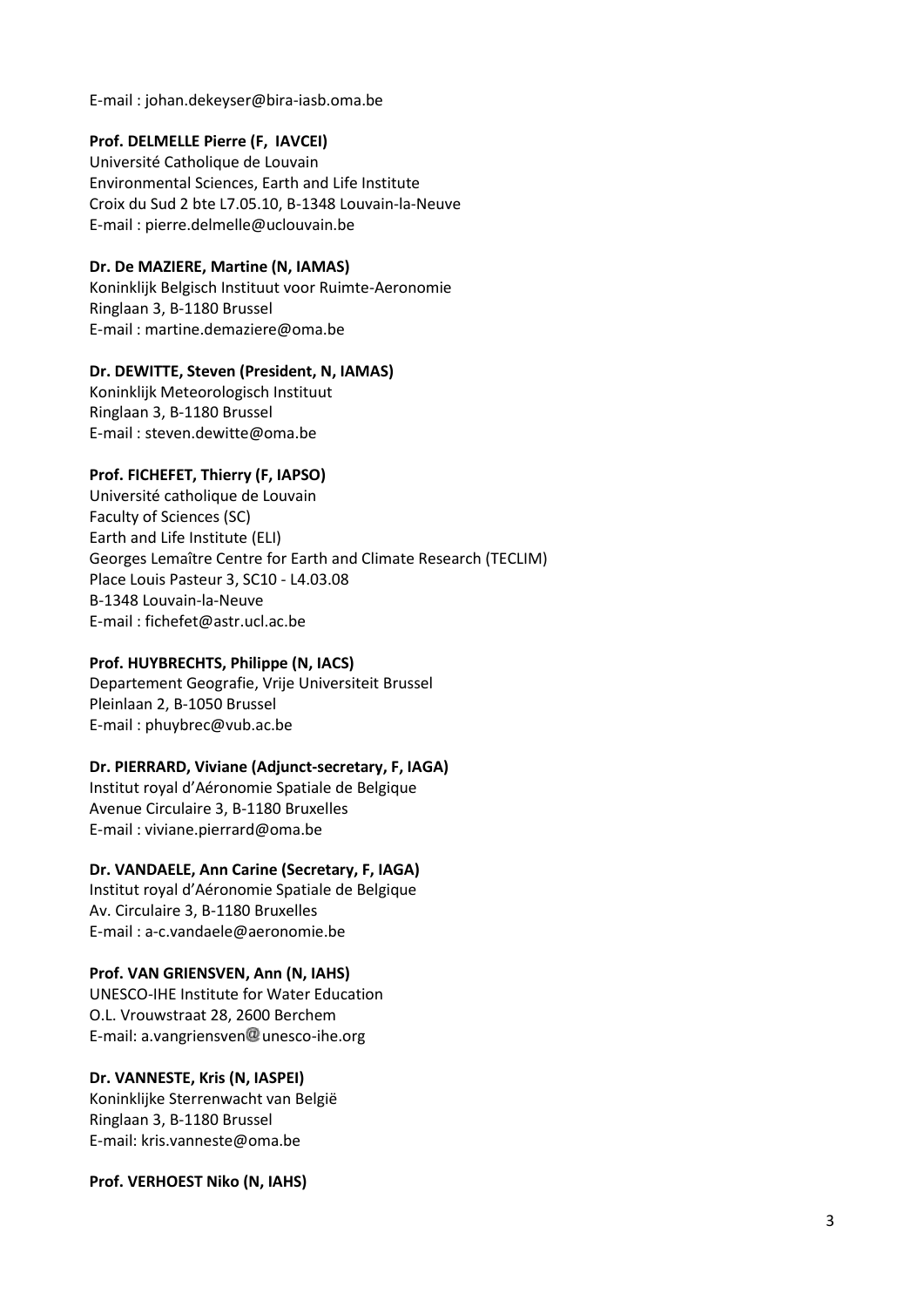E-mail : johan.dekeyser@bira-iasb.oma.be

# **Prof. DELMELLE Pierre (F, IAVCEI)**

Université Catholique de Louvain Environmental Sciences, Earth and Life Institute Croix du Sud 2 bte L7.05.10, B-1348 Louvain-la-Neuve E-mail : pierre.delmelle@uclouvain.be

# **Dr. De MAZIERE, Martine (N, IAMAS)**

Koninklijk Belgisch Instituut voor Ruimte-Aeronomie Ringlaan 3, B-1180 Brussel E-mail : martine.demaziere@oma.be

# **Dr. DEWITTE, Steven (President, N, IAMAS)**

Koninklijk Meteorologisch Instituut Ringlaan 3, B-1180 Brussel E-mail : steven.dewitte@oma.be

# **Prof. FICHEFET, Thierry (F, IAPSO)**

Université catholique de Louvain Faculty of Sciences (SC) Earth and Life Institute (ELI) Georges Lemaître Centre for Earth and Climate Research (TECLIM) Place Louis Pasteur 3, SC10 - L4.03.08 B-1348 Louvain-la-Neuve E-mail : fichefet@astr.ucl.ac.be

# **Prof. HUYBRECHTS, Philippe (N, IACS)**

Departement Geografie, Vrije Universiteit Brussel Pleinlaan 2, B-1050 Brussel E-mail : phuybrec@vub.ac.be

#### **Dr. PIERRARD, Viviane (Adjunct-secretary, F, IAGA)**

Institut royal d'Aéronomie Spatiale de Belgique Avenue Circulaire 3, B-1180 Bruxelles E-mail : viviane.pierrard@oma.be

# **Dr. VANDAELE, Ann Carine (Secretary, F, IAGA)**

Institut royal d'Aéronomie Spatiale de Belgique Av. Circulaire 3, B-1180 Bruxelles E-mail : a-c.vandaele@aeronomie.be

#### **Prof. VAN GRIENSVEN, Ann (N, IAHS)**

UNESCO-IHE Institute for Water Education O.L. Vrouwstraat 28, 2600 Berchem E-mail: a.vangriensven $@$  unesco-ihe.org

#### **Dr. VANNESTE, Kris (N, IASPEI)**

Koninklijke Sterrenwacht van België Ringlaan 3, B-1180 Brussel E-mail: kris.vanneste@oma.be

**Prof. VERHOEST Niko (N, IAHS)**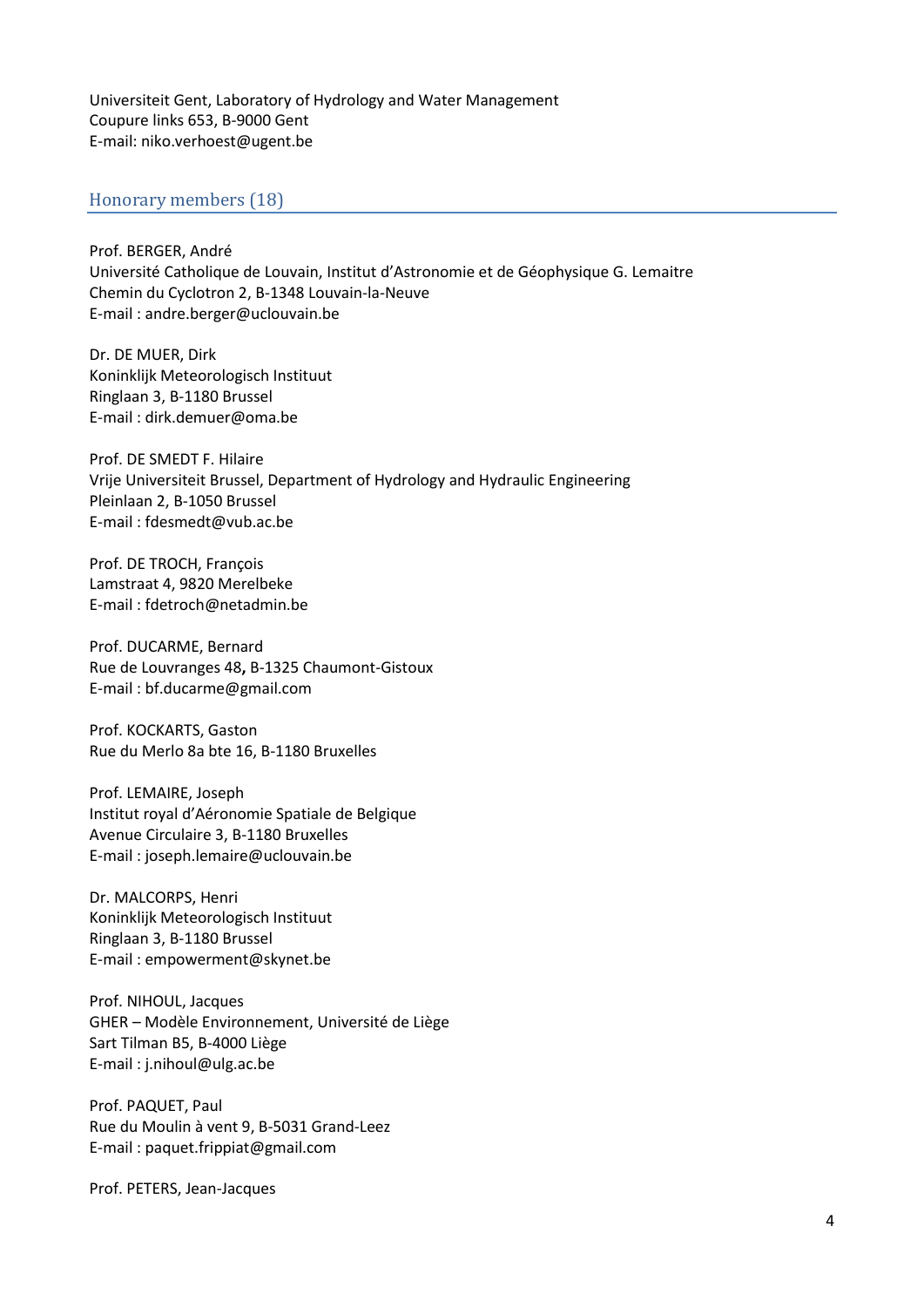Universiteit Gent, Laboratory of Hydrology and Water Management Coupure links 653, B-9000 Gent E-mail: niko.verhoest@ugent.be

## Honorary members (18)

Prof. BERGER, André Université Catholique de Louvain, Institut d'Astronomie et de Géophysique G. Lemaitre Chemin du Cyclotron 2, B-1348 Louvain-la-Neuve E-mail : andre.berger@uclouvain.be

Dr. DE MUER, Dirk Koninklijk Meteorologisch Instituut Ringlaan 3, B-1180 Brussel E-mail : dirk.demuer@oma.be

Prof. DE SMEDT F. Hilaire Vrije Universiteit Brussel, Department of Hydrology and Hydraulic Engineering Pleinlaan 2, B-1050 Brussel E-mail : fdesmedt@vub.ac.be

Prof. DE TROCH, François Lamstraat 4, 9820 Merelbeke E-mail : fdetroch@netadmin.be

Prof. DUCARME, Bernard Rue de Louvranges 48**,** B-1325 Chaumont-Gistoux E-mail : bf.ducarme@gmail.com

Prof. KOCKARTS, Gaston Rue du Merlo 8a bte 16, B-1180 Bruxelles

Prof. LEMAIRE, Joseph Institut royal d'Aéronomie Spatiale de Belgique Avenue Circulaire 3, B-1180 Bruxelles E-mail : joseph.lemaire@uclouvain.be

Dr. MALCORPS, Henri Koninklijk Meteorologisch Instituut Ringlaan 3, B-1180 Brussel E-mail : empowerment@skynet.be

Prof. NIHOUL, Jacques GHER – Modèle Environnement, Université de Liège Sart Tilman B5, B-4000 Liège E-mail : j.nihoul@ulg.ac.be

Prof. PAQUET, Paul Rue du Moulin à vent 9, B-5031 Grand-Leez E-mail : [paquet.frippiat@gmail.com](mailto:paquet.frippiat@gmail.com)

Prof. PETERS, Jean-Jacques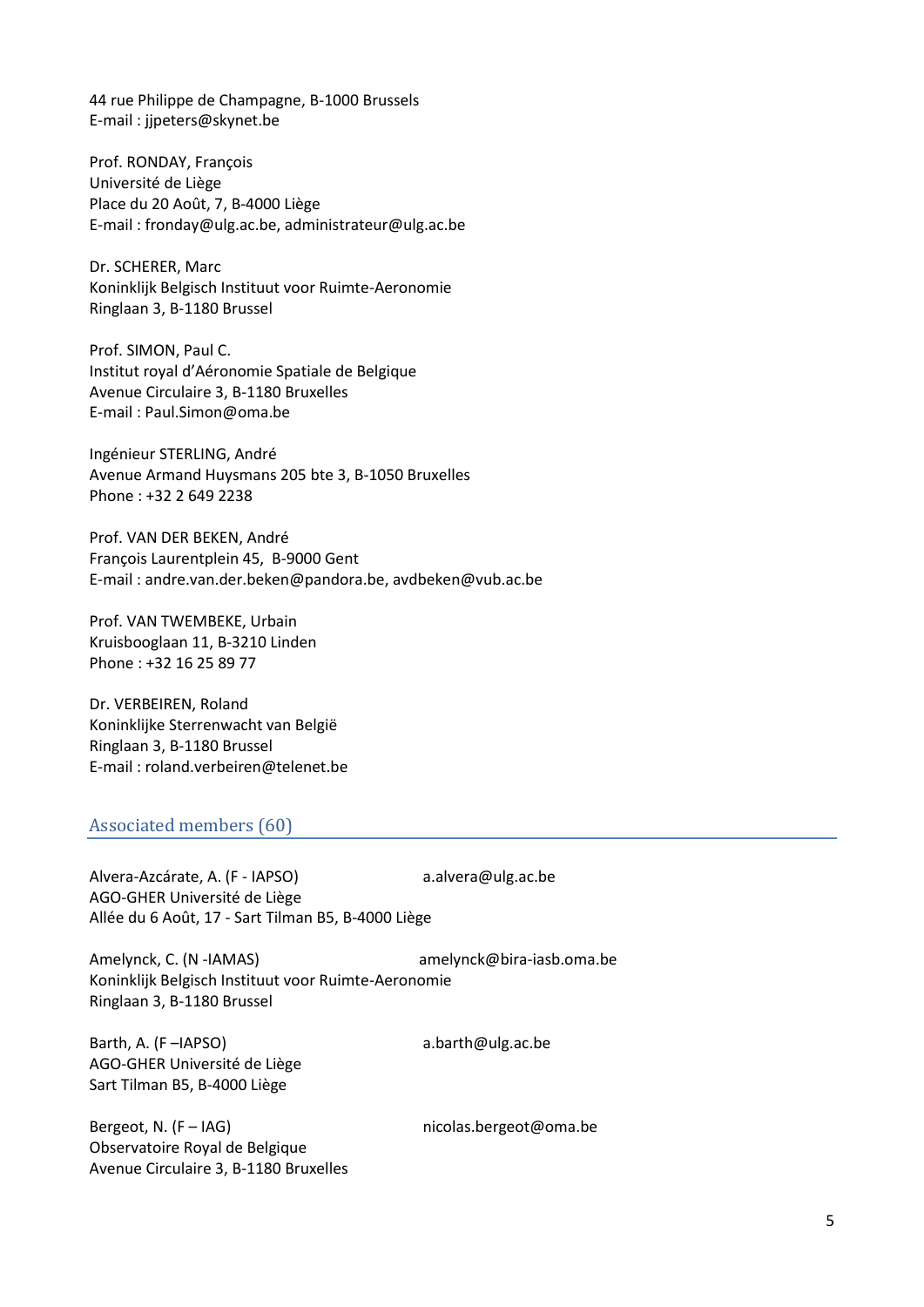44 rue Philippe de Champagne, B-1000 Brussels E-mail : [jjpeters@skynet.be](mailto:jjpeters@vub.ac.be)

Prof. RONDAY, François Université de Liège Place du 20 Août, 7, B-4000 Liège E-mail : [fronday@ulg.ac.be,](mailto:fronday@ulg.ac.be) [administrateur@ulg.ac.be](mailto:administrateur@ulg.ac.be)

Dr. SCHERER, Marc Koninklijk Belgisch Instituut voor Ruimte-Aeronomie Ringlaan 3, B-1180 Brussel

Prof. SIMON, Paul C. Institut royal d'Aéronomie Spatiale de Belgique Avenue Circulaire 3, B-1180 Bruxelles E-mail : [Paul.Simon@oma.be](mailto:Paul.Simon@oma.be)

Ingénieur STERLING, André Avenue Armand Huysmans 205 bte 3, B-1050 Bruxelles Phone : +32 2 649 2238

Prof. VAN DER BEKEN, André François Laurentplein 45, B-9000 Gent E-mail : [andre.van.der.beken@pandora.be,](mailto:avdbeken@vub.ac.be) avdbeken@vub.ac.be

Prof. VAN TWEMBEKE, Urbain Kruisbooglaan 11, B-3210 Linden Phone : +32 16 25 89 77

Dr. VERBEIREN, Roland Koninklijke Sterrenwacht van België Ringlaan 3, B-1180 Brussel E-mail : [roland.verbeiren@telenet.be](mailto:roland.verbeiren@telenet.be)

# Associated members (60)

Alvera-Azcárate, A. (F - IAPSO) a.alvera@ulg.ac.be AGO-GHER Université de Liège Allée du 6 Août, 17 - Sart Tilman B5, B-4000 Liège

Amelynck, C. (N -IAMAS) amelynck@bira-iasb.oma.be Koninklijk Belgisch Instituut voor Ruimte-Aeronomie Ringlaan 3, B-1180 Brussel

Barth, A. (F-IAPSO) a.barth@ulg.ac.be AGO-GHER Université de Liège Sart Tilman B5, B-4000 Liège

Bergeot, N. (F-IAG) https://www.micolas.bergeot@oma.be Observatoire Royal de Belgique Avenue Circulaire 3, B-1180 Bruxelles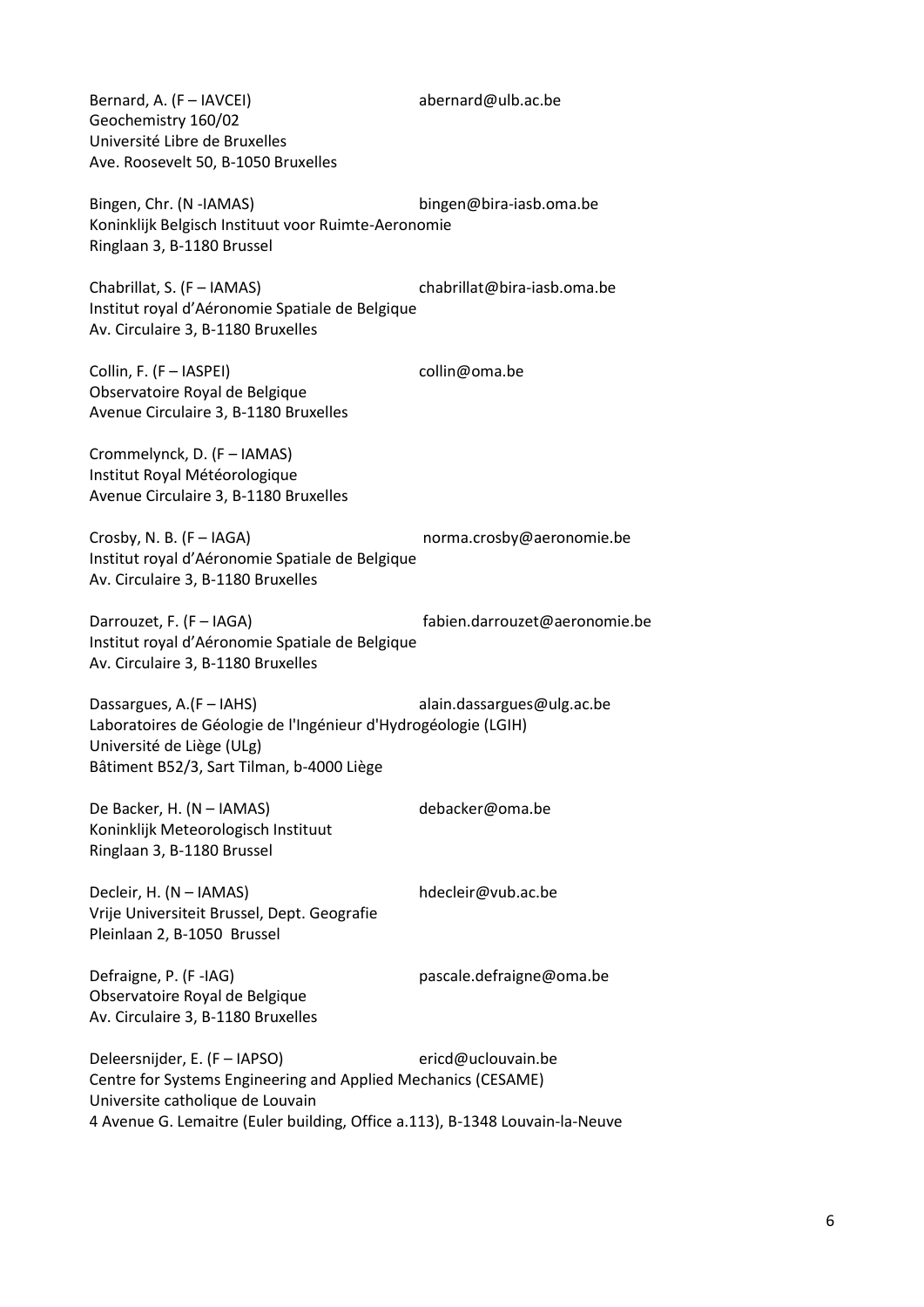Bernard, A. (F – [IAVCEI\)](http://www.iavcei.org/) [abernard@ulb.ac.be](mailto:abernard@ulb.ac.be) Geochemistry 160/02 Université Libre de Bruxelles Ave. Roosevelt 50, B-1050 Bruxelles

Bingen, Chr. (N [-IAMAS\)](http://www.iamas.org/) [bingen@bira-iasb.oma.be](mailto:bingen@bira-iasb.oma.be) Koninklijk Belgisch Instituut voor Ruimte-Aeronomie Ringlaan 3, B-1180 Brussel

Chabrillat, S. (F – [IAMAS\)](http://www.iamas.org/) [chabrillat@bira-iasb.oma.be](mailto:chabrillat@bira-iasb.oma.be) Institut royal d'Aéronomie Spatiale de Belgique Av. Circulaire 3, B-1180 Bruxelles

Collin, F. (F – [IASPEI\)](http://www.iaspei.org/) [collin@oma.be](mailto:collin@oma.be) Observatoire Royal de Belgique Avenue Circulaire 3, B-1180 Bruxelles

Crommelynck, D. (F – [IAMAS\)](http://www.iamas.org/) Institut Royal Météorologique Avenue Circulaire 3, B-1180 Bruxelles

Crosby, N. B. (F – [IAGA\)](http://www.iugg.org/IAGA) [norma.crosby@aeronomie.be](mailto:norma.crosby@aeronomie.be) Institut royal d'Aéronomie Spatiale de Belgique Av. Circulaire 3, B-1180 Bruxelles

Darrouzet, F. (F – [IAGA\)](http://www.iugg.org/IAGA) [fabien.darrouzet@aeronomie.be](mailto:darrouzet@aeronomie.be) Institut royal d'Aéronomie Spatiale de Belgique Av. Circulaire 3, B-1180 Bruxelles

Dassargues, A.(F – [IAHS\)](http://www.cig.ensmp.fr/~iahs/) [alain.dassargues@ulg.ac.be](mailto:alain.dassargues@ulg.ac.be) Laboratoires de Géologie de l'Ingénieur d'Hydrogéologie (LGIH) Université de Liège (ULg) Bâtiment B52/3, Sart Tilman, b-4000 Liège

De Backer, H. (N – [IAMAS\)](http://www.iamas.org/) [debacker@oma.be](mailto:debacker@oma.be) Koninklijk Meteorologisch Instituut Ringlaan 3, B-1180 Brussel

Decleir, H. (N – [IAMAS\)](http://www.iamas.org/) [hdecleir@vub.ac.be](mailto:hdecleir@vub.ac.be) Vrije Universiteit Brussel, Dept. Geografie Pleinlaan 2, B-1050 Brussel

Defraigne, P. (F[-IAG\)](http://www.iag-aig.org/) entitled and [pascale.defraigne@oma.be](mailto:pascale.defraigne@oma.be)

Observatoire Royal de Belgique Av. Circulaire 3, B-1180 Bruxelles

Deleersnijder, E. (F – [IAPSO\)](http://www.iugg.org/iapso/) [ericd@uclouvain.be](mailto:ericd@uclouvain.be) Centre for Systems Engineering and Applied Mechanics (CESAME) Universite catholique de Louvain

4 Avenue G. Lemaitre (Euler building, Office a.113), B-1348 Louvain-la-Neuve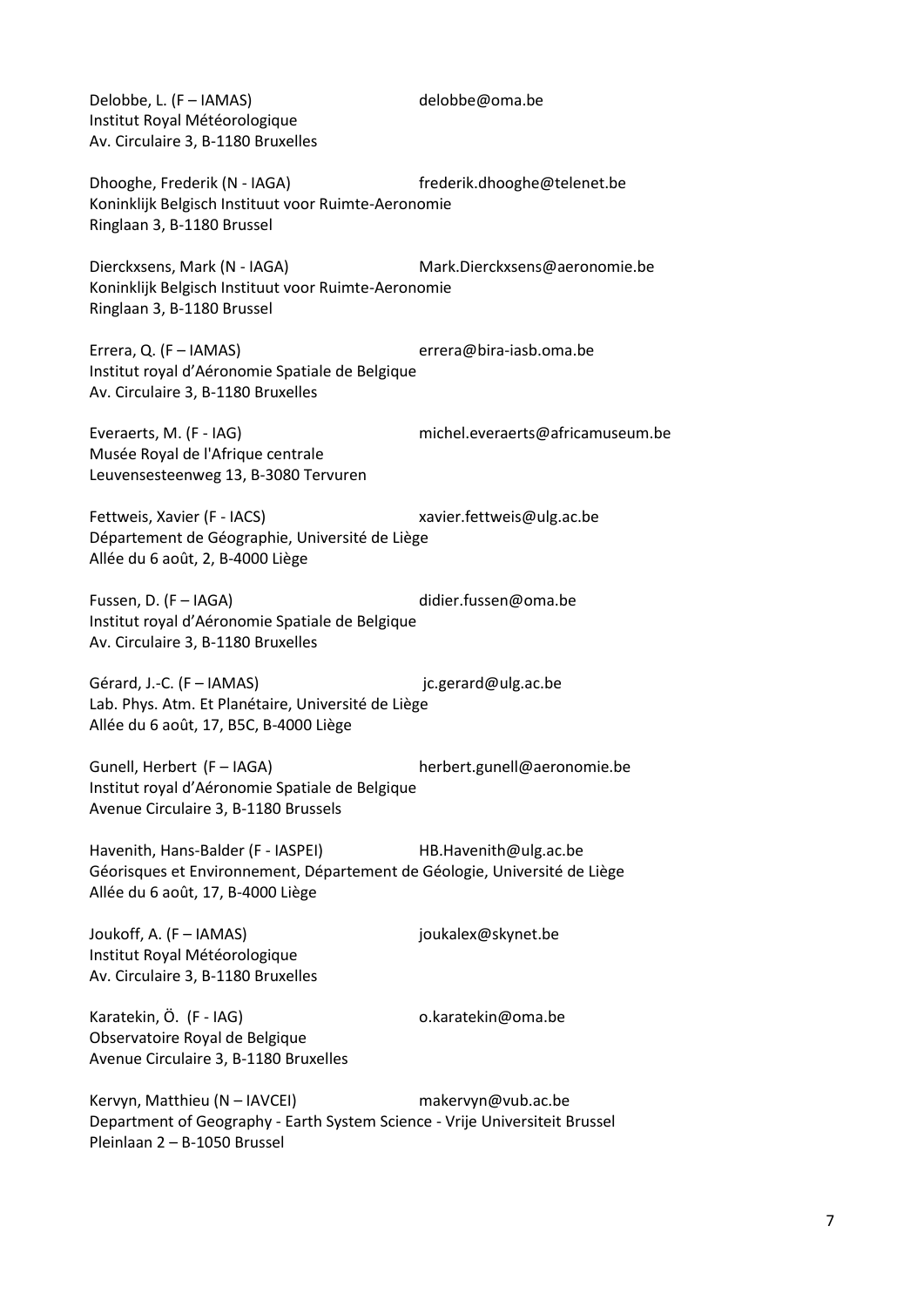Delobbe, L. (F – [IAMAS\)](http://www.iamas.org/) [delobbe@oma.be](mailto:delobbe@oma.be) Institut Royal Météorologique Av. Circulaire 3, B-1180 Bruxelles

Dhooghe, Frederik (N - IAGA) frederik.dhooghe@telenet.be Koninklijk Belgisch Instituut voor Ruimte-Aeronomie Ringlaan 3, B-1180 Brussel

Dierckxsens, Mark (N - IAGA) Mark.Dierckxsens@aeronomie.be Koninklijk Belgisch Instituut voor Ruimte-Aeronomie Ringlaan 3, B-1180 Brussel

Errera, Q. (F – [IAMAS\)](http://www.iamas.org/) [errera@bira-iasb.oma.be](mailto:errera@bira-iasb.oma.be) Institut royal d'Aéronomie Spatiale de Belgique Av. Circulaire 3, B-1180 Bruxelles

Everaerts, M. (F - [IAG\)](http://www.iag-aig.org/) michel.everaerts@africamuseum.be Musée Royal de l'Afrique centrale Leuvensesteenweg 13, B-3080 Tervuren

Fettweis, Xavier (F - IACS) xavier.fettweis@ulg.ac.be Département de Géographie, Université de Liège Allée du 6 août, 2, B-4000 Liège

Fussen, D. (F – [IAGA\)](http://www.iugg.org/IAGA) [didier.fussen@oma.be](mailto:didier.fussen@oma.be) Institut royal d'Aéronomie Spatiale de Belgique Av. Circulaire 3, B-1180 Bruxelles

Gérard, J.-C. (F – [IAMAS\)](http://www.iamas.org/) ic.gerard@ulg.ac.be Lab. Phys. Atm. Et Planétaire, Université de Liège Allée du 6 août, 17, B5C, B-4000 Liège

Gunell, Herbert (F – IAGA) herbert.gunell@aeronomie.be Institut royal d'Aéronomie Spatiale de Belgique Avenue Circulaire 3, B-1180 Brussels

Havenith, Hans-Balder (F - IASPEI) HB.Havenith@ulg.ac.be Géorisques et Environnement, Département de Géologie, Université de Liège Allée du 6 août, 17, B-4000 Liège

Joukoff, A. (F – [IAMAS\)](http://www.iamas.org/) [joukalex@skynet.be](mailto:joukalex@skynet.be)  Institut Royal Météorologique Av. Circulaire 3, B-1180 Bruxelles

Karatekin, Ö. (F - IAG) o.karatekin@oma.be Observatoire Royal de Belgique

Avenue Circulaire 3, B-1180 Bruxelles

Kervyn, Matthieu (N – IAVCEI) makervyn@vub.ac.be Department of Geography - Earth System Science - Vrije Universiteit Brussel Pleinlaan 2 – B-1050 Brussel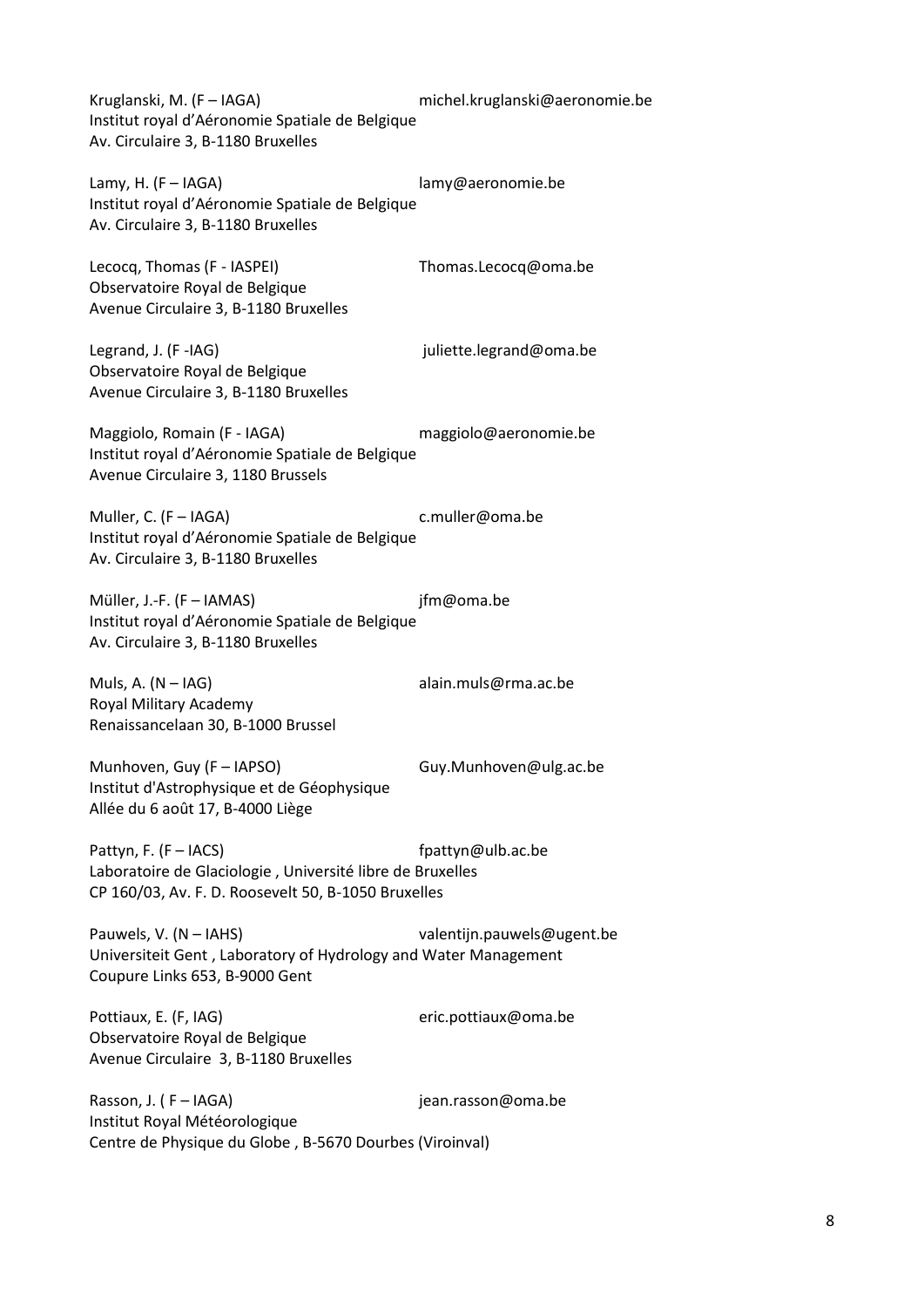Kruglanski, M. (F – [IAGA\)](http://www.iugg.org/IAGA) [michel.kruglanski@aeronomie.be](mailto:michel.kruglanski@aeronomie.be) Institut royal d'Aéronomie Spatiale de Belgique Av. Circulaire 3, B-1180 Bruxelles

Lamy, H. (F – [IAGA\)](http://www.iugg.org/IAGA) [lamy@aeronomie.be](mail:lamy@aeronomie.be) Institut royal d'Aéronomie Spatiale de Belgique Av. Circulaire 3, B-1180 Bruxelles

Lecocq, Thomas (F - IASPEI) Thomas.Lecocq@oma.be Observatoire Royal de Belgique Avenue Circulaire 3, B-1180 Bruxelles

Legrand, J. (F[-IAG\)](http://www.iag-aig.org/) intervalsed and the settle problems intervalsed and the settle settle set all the set of the set of the set of the set of the set of the set of the set of the set of the set of the set of the set of the Observatoire Royal de Belgique Avenue Circulaire 3, B-1180 Bruxelles

Maggiolo, Romain (F - IAGA) maggiolo@aeronomie.be Institut royal d'Aéronomie Spatiale de Belgique Avenue Circulaire 3, 1180 Brussels

Muller, C. (F – [IAGA\)](http://www.iugg.org/IAGA) [c.muller@oma.be](mailto:c.muller@oma.be) Institut royal d'Aéronomie Spatiale de Belgique Av. Circulaire 3, B-1180 Bruxelles

Müller, J.-F. (F – [IAMAS\)](http://www.iamas.org/) ifm@oma.be Institut royal d'Aéronomie Spatiale de Belgique Av. Circulaire 3, B-1180 Bruxelles

Muls, A. (N – [IAG\)](http://www.iag-aig.org/) [alain.muls@rma.ac.be](mailto:alain.muls@rma.ac.be) Royal Military Academy Renaissancelaan 30, B-1000 Brussel

Munhoven, Guy (F – IAPSO) Guy.Munhoven@ulg.ac.be Institut d'Astrophysique et de Géophysique Allée du 6 août 17, B-4000 Liège

Pattyn, F. (F – IACS) fpattyn@ulb.ac.be Laboratoire de Glaciologie , Université libre de Bruxelles CP 160/03, Av. F. D. Roosevelt 50, B-1050 Bruxelles

Pauwels, V. (N – [IAHS\)](http://www.cig.ensmp.fr/~iahs/) [valentijn.pauwels@ugent.be](mailto:valentijn.pauwels@ugent.be) Universiteit Gent , Laboratory of Hydrology and Water Management Coupure Links 653, B-9000 Gent

Pottiaux, E. (F, IAG) eric.pottiaux@oma.be Observatoire Royal de Belgique Avenue Circulaire 3, B-1180 Bruxelles

Rasson, J. (F – [IAGA\)](http://www.iugg.org/IAGA) iean.rasson@oma.be Institut Royal Météorologique Centre de Physique du Globe , B-5670 Dourbes (Viroinval)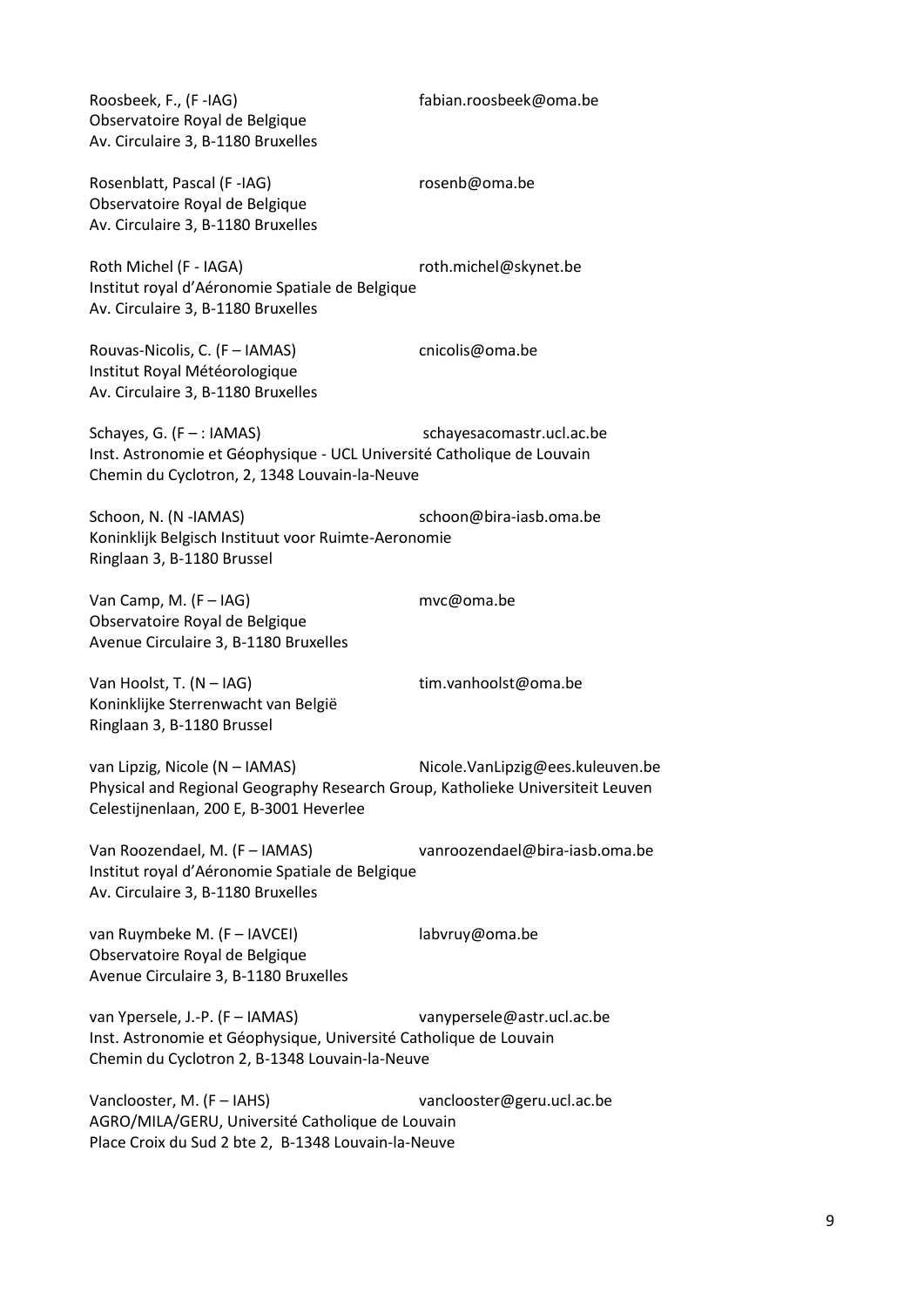Roosbeek, F., (F[-IAG\)](http://www.iag-aig.org/) [fabian.roosbeek@oma.be](mailto:fabian.roosbeek@oma.be) Observatoire Royal de Belgique Av. Circulaire 3, B-1180 Bruxelles

Rosenblatt, Pascal (F[-IAG\)](http://www.iag-aig.org/) [rosenb@oma.be](mailto:rosenb@oma.be) Observatoire Royal de Belgique Av. Circulaire 3, B-1180 Bruxelles

Roth Michel (F - IAGA) roth.michel@skynet.be Institut royal d'Aéronomie Spatiale de Belgique Av. Circulaire 3, B-1180 Bruxelles

Rouvas-Nicolis, C. (F – [IAMAS\)](http://www.iamas.org/) [cnicolis@oma.be](mailto:cnicolis@oma.be) Institut Royal Météorologique Av. Circulaire 3, B-1180 Bruxelles

Schayes, G. (F – : IAMAS) schayesacomastr.ucl.ac.be Inst. Astronomie et Géophysique - UCL Université Catholique de Louvain Chemin du Cyclotron, 2, 1348 Louvain-la-Neuve

Schoon, N. (N [-IAMAS\)](http://www.iamas.org/) schoon@bira-iasb.oma.be Koninklijk Belgisch Instituut voor Ruimte-Aeronomie Ringlaan 3, B-1180 Brussel

Van Camp, M. (F – [IAG\)](http://www.iag-aig.org/) [mvc@oma.be](mailto:mvc@oma.be) Observatoire Royal de Belgique Avenue Circulaire 3, B-1180 Bruxelles

Van Hoolst, T. (N – [IAG\)](http://www.iag-aig.org/) [tim.vanhoolst@oma.be](mailto:tim.vanhoolst@oma.be) Koninklijke Sterrenwacht van België Ringlaan 3, B-1180 Brussel

van Lipzig, Nicole (N – IAMAS) Nicole.VanLipzig@ees.kuleuven.be Physical and Regional Geography Research Group, Katholieke Universiteit Leuven Celestijnenlaan, 200 E, B-3001 Heverlee

Van Roozendael, M. (F – [IAMAS\)](http://www.iamas.org/) [vanroozendael@bira-iasb.oma.be](mailto:vanroozendael@bira-iasb.oma.be) Institut royal d'Aéronomie Spatiale de Belgique Av. Circulaire 3, B-1180 Bruxelles

van Ruymbeke M. (F – [IAVCEI\)](http://www.iavcei.org/) [labvruy@oma.be](mailto:labvruy@oma.be) Observatoire Royal de Belgique Avenue Circulaire 3, B-1180 Bruxelles

van Ypersele, J.-P. (F – [IAMAS\)](http://www.iamas.org/) [vanypersele@astr.ucl.ac.be](mailto:vanypersele@astr.ucl.ac.be) Inst. Astronomie et Géophysique, Université Catholique de Louvain Chemin du Cyclotron 2, B-1348 Louvain-la-Neuve

Vanclooster, M. (F – [IAHS\)](http://www.cig.ensmp.fr/~iahs/) [vanclooster@geru.ucl.ac.be](mailto:vanclooster@geru.ucl.ac.be) AGRO/MILA/GERU, Université Catholique de Louvain Place Croix du Sud 2 bte 2, B-1348 Louvain-la-Neuve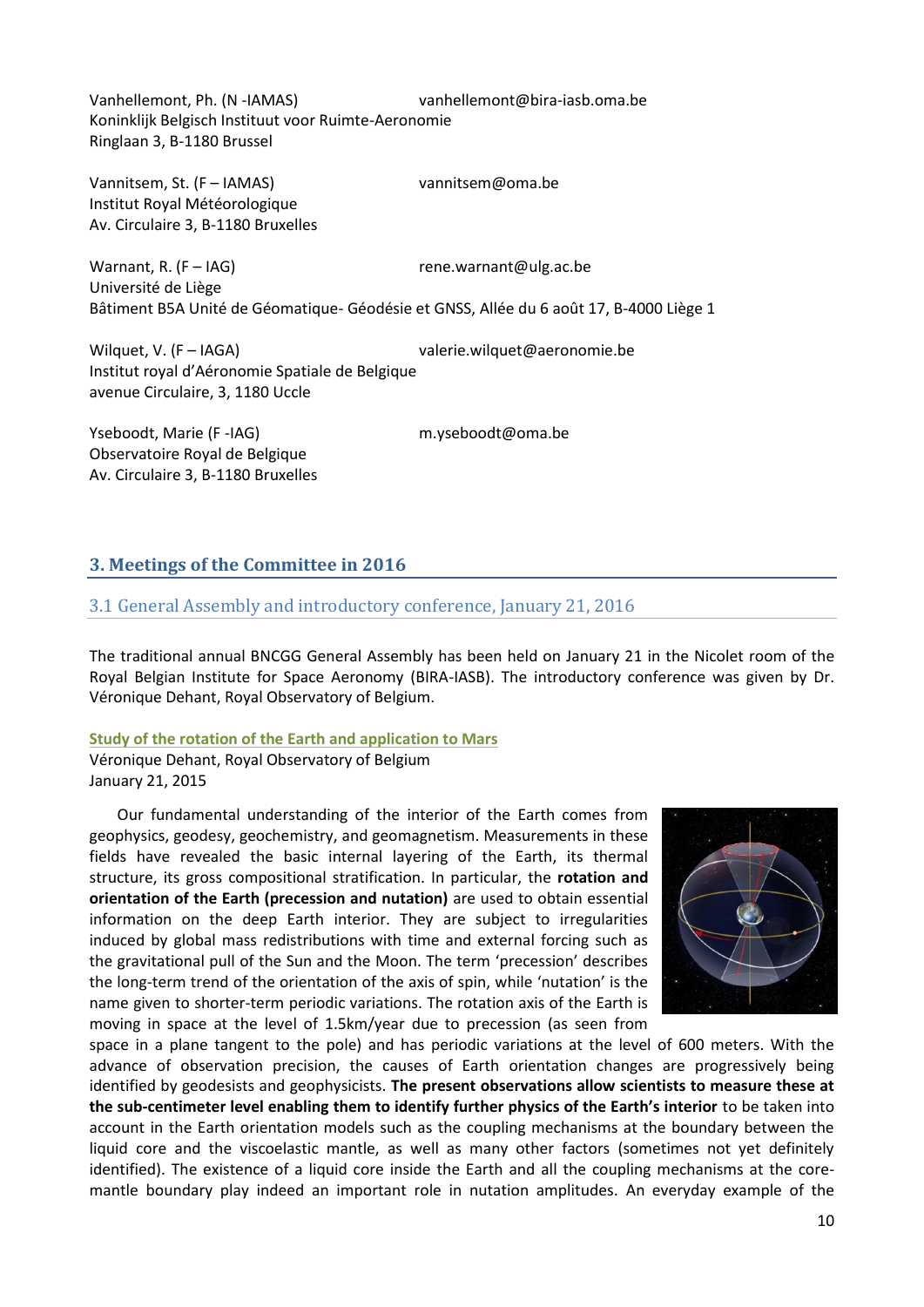Vanhellemont, Ph. (N [-IAMAS\)](http://www.iamas.org/) [vanhellemont@bira-iasb.oma.be](mailto:vanhellemont@bira-iasb.oma.be)  Koninklijk Belgisch Instituut voor Ruimte-Aeronomie Ringlaan 3, B-1180 Brussel

Vannitsem, St. (F – [IAMAS\)](http://www.iamas.org/) [vannitsem@oma.be](mailto:vannitsem@oma.be) Institut Royal Météorologique Av. Circulaire 3, B-1180 Bruxelles

Warnant, R. (F – [IAG\)](http://www.iag-aig.org/) [rene.warnant@ulg.ac.be](mailto:rene.warnant@ulg.ac.be) Université de Liège Bâtiment B5A Unité de Géomatique- Géodésie et GNSS, Allée du 6 août 17, B-4000 Liège 1

Wilquet, V. (F – IAGA) valerie.wilquet@aeronomie.be Institut royal d'Aéronomie Spatiale de Belgique avenue Circulaire, 3, 1180 Uccle

Yseboodt, Marie (F[-IAG\)](http://www.iag-aig.org/) [m.yseboodt@oma.be](mailto:m.yseboodt@oma.be) Observatoire Royal de Belgique Av. Circulaire 3, B-1180 Bruxelles

# **3. Meetings of the Committee in 2016**

# 3.1 General Assembly and introductory conference, January 21, 2016

The traditional annual BNCGG General Assembly has been held on January 21 in the Nicolet room of the Royal Belgian Institute for Space Aeronomy (BIRA-IASB). The introductory conference was given by Dr. Véronique Dehant, Royal Observatory of Belgium.

#### **Study of the rotation of the Earth and application to Mars**

Véronique Dehant, Royal Observatory of Belgium January 21, 2015

Our fundamental understanding of the interior of the Earth comes from geophysics, geodesy, geochemistry, and geomagnetism. Measurements in these fields have revealed the basic internal layering of the Earth, its thermal structure, its gross compositional stratification. In particular, the **rotation and orientation of the Earth (precession and nutation)** are used to obtain essential information on the deep Earth interior. They are subject to irregularities induced by global mass redistributions with time and external forcing such as the gravitational pull of the Sun and the Moon. The term 'precession' describes the long-term trend of the orientation of the axis of spin, while 'nutation' is the name given to shorter-term periodic variations. The rotation axis of the Earth is moving in space at the level of 1.5km/year due to precession (as seen from



space in a plane tangent to the pole) and has periodic variations at the level of 600 meters. With the advance of observation precision, the causes of Earth orientation changes are progressively being identified by geodesists and geophysicists. **The present observations allow scientists to measure these at the sub-centimeter level enabling them to identify further physics of the Earth's interior** to be taken into account in the Earth orientation models such as the coupling mechanisms at the boundary between the liquid core and the viscoelastic mantle, as well as many other factors (sometimes not yet definitely identified). The existence of a liquid core inside the Earth and all the coupling mechanisms at the coremantle boundary play indeed an important role in nutation amplitudes. An everyday example of the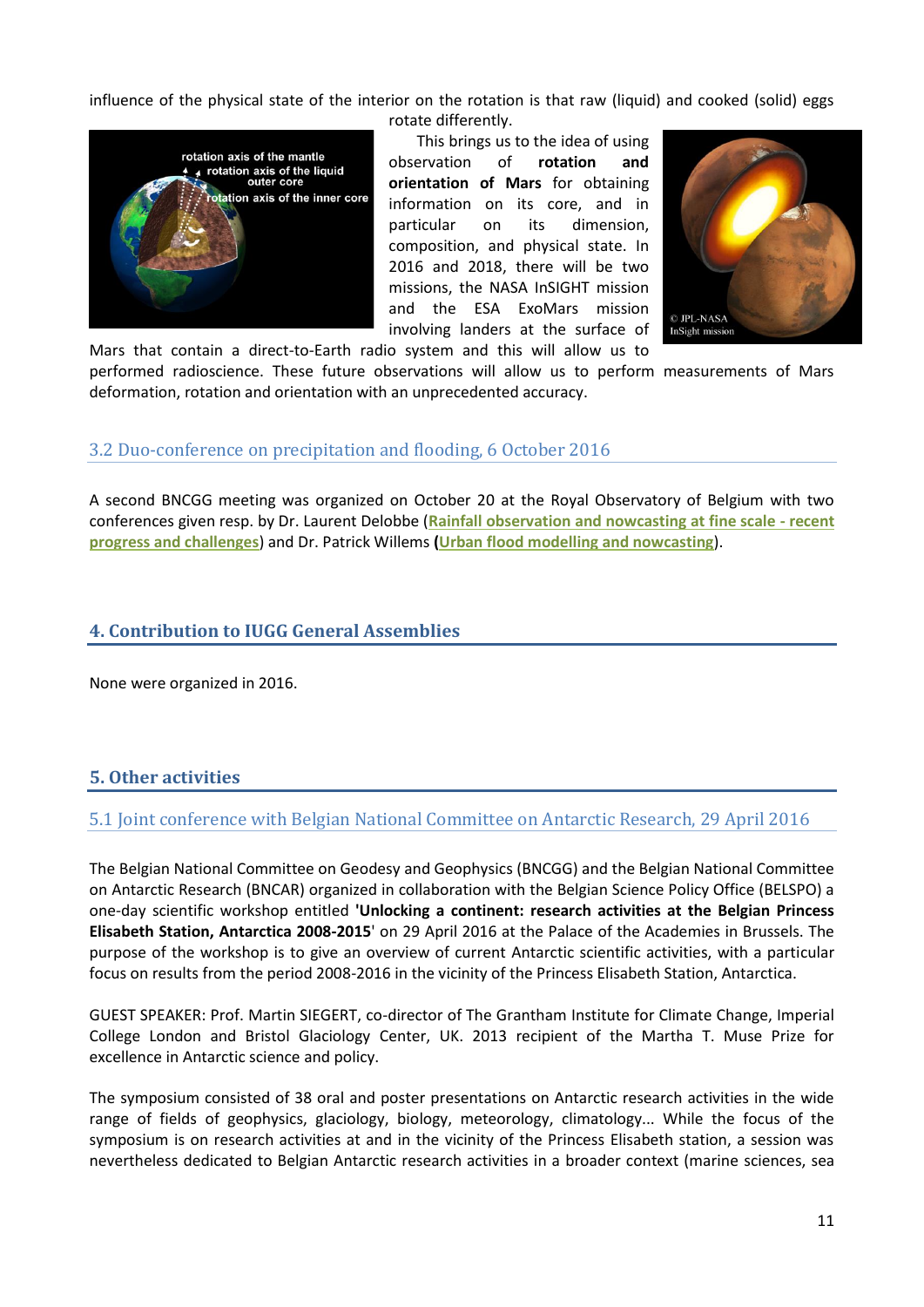influence of the physical state of the interior on the rotation is that raw (liquid) and cooked (solid) eggs



This brings us to the idea of using observation of **rotation and orientation of Mars** for obtaining information on its core, and in particular on its dimension, composition, and physical state. In 2016 and 2018, there will be two missions, the NASA InSIGHT mission and the ESA ExoMars mission involving landers at the surface of



Mars that contain a direct-to-Earth radio system and this will allow us to performed radioscience. These future observations will allow us to perform measurements of Mars deformation, rotation and orientation with an unprecedented accuracy.

# 3.2 Duo-conference on precipitation and flooding, 6 October 2016

A second BNCGG meeting was organized on October 20 at the Royal Observatory of Belgium with two conferences given resp. by Dr. Laurent Delobbe (**[Rainfall observation and nowcasting at fine scale -](http://bncgg.oma.be/abstracts/Rainfall%20observation%20and%20nowcasting%20at%20fine%20scale%20-%20recent%20progress%20and%20challenges.pdf) recent [progress and challenges](http://bncgg.oma.be/abstracts/Rainfall%20observation%20and%20nowcasting%20at%20fine%20scale%20-%20recent%20progress%20and%20challenges.pdf)**) and Dr. Patrick Willems **[\(Urban flood modelling and nowcasting](http://bncgg.oma.be/abstracts/Urban%20flood%20modelling%20and%20nowcasting.pdf)**).

# **4. Contribution to IUGG General Assemblies**

None were organized in 2016.

# **5. Other activities**

# 5.1 Joint conference with Belgian National Committee on Antarctic Research, 29 April 2016

The Belgian National Committee on Geodesy and Geophysics (BNCGG) and the Belgian National Committee on Antarctic Research (BNCAR) organized in collaboration with the Belgian Science Policy Office (BELSPO) a one-day scientific workshop entitled **'Unlocking a continent: research activities at the Belgian Princess Elisabeth Station, Antarctica 2008-2015**' on 29 April 2016 at the Palace of the Academies in Brussels. The purpose of the workshop is to give an overview of current Antarctic scientific activities, with a particular focus on results from the period 2008-2016 in the vicinity of the Princess Elisabeth Station, Antarctica.

GUEST SPEAKER: Prof. Martin SIEGERT, co-director of The Grantham Institute for Climate Change, Imperial College London and Bristol Glaciology Center, UK. 2013 recipient of the Martha T. Muse Prize for excellence in Antarctic science and policy.

The symposium consisted of 38 oral and poster presentations on Antarctic research activities in the wide range of fields of geophysics, glaciology, biology, meteorology, climatology... While the focus of the symposium is on research activities at and in the vicinity of the Princess Elisabeth station, a session was nevertheless dedicated to Belgian Antarctic research activities in a broader context (marine sciences, sea